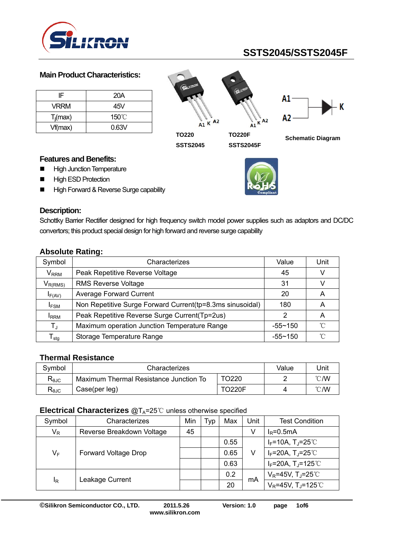

#### **Main Product Characteristics:**

| IF          | 20A   |
|-------------|-------|
| VRRM        | 45V   |
| $T_i$ (max) | 150°C |
| Vf(max)     | 0.63V |



**Schematic Diagram** 

#### **Features and Benefits:**

- **High Junction Temperature**
- **High ESD Protection**
- High Forward & Reverse Surge capability



Schottky Barrier Rectifier designed for high frequency switch model power supplies such as adaptors and DC/DC convertors; this product special design for high forward and reverse surge capability

| .                           |                                                           |             |      |
|-----------------------------|-----------------------------------------------------------|-------------|------|
| Symbol                      | Characterizes                                             | Value       | Unit |
| $\mathsf{V}_{\mathsf{RRM}}$ | Peak Repetitive Reverse Voltage                           | 45          | V    |
| $V_{R(RMS)}$                | <b>RMS Reverse Voltage</b>                                | 31          | V    |
| $I_{F(AV)}$                 | <b>Average Forward Current</b>                            | 20          | Α    |
| <b>IFSM</b>                 | Non Repetitive Surge Forward Current(tp=8.3ms sinusoidal) | 180         | Α    |
| <b>I</b> RRM                | Peak Repetitive Reverse Surge Current(Tp=2us)             |             | A    |
| $T_{\rm J}$                 | Maximum operation Junction Temperature Range              | $-55 - 150$ | °C   |
| $\mathsf{T}_{\mathsf{stq}}$ | Storage Temperature Range                                 | $-55 - 150$ | °C   |

#### **Absolute Rating:**

#### **Thermal Resistance**

| Svmbol         | Characterizes                          | Value         | Unit |                |
|----------------|----------------------------------------|---------------|------|----------------|
| $R_{\theta$ JC | Maximum Thermal Resistance Junction To | TO220         |      | $^{\circ}$ C/W |
| $R_{\theta$ JC | Case(per leg)                          | <b>TO220F</b> |      | $^{\circ}$ C/W |

#### **Electrical Characterizes @TA=25 © unless otherwise specified**

| Symbol | Characterizes               |    | Typ | Max  | <b>Unit</b> | <b>Test Condition</b>                         |
|--------|-----------------------------|----|-----|------|-------------|-----------------------------------------------|
| $V_R$  | Reverse Breakdown Voltage   | 45 |     |      | V           | $I_R = 0.5mA$                                 |
|        |                             |    |     | 0.55 |             | $I_F$ =10A, T <sub>J</sub> =25℃               |
| $V_F$  | <b>Forward Voltage Drop</b> |    |     | 0.65 | v           | $I_F = 20A$ , T <sub>J</sub> =25°C            |
|        |                             |    |     | 0.63 |             | $I_F = 20A$ , T <sub>J</sub> =125°C           |
| ΙŖ     |                             |    |     | 0.2  |             | $V_R$ =45V, T <sub>J</sub> =25 <sup>°</sup> C |
|        | Leakage Current             |    |     | 20   | mA          | $V_R = 45V$ , T <sub>J</sub> =125°C           |

**©Silikron Semiconductor CO., LTD. 2011.5.26 Version: 1.0 page 1of6** 

**www.silikron.com**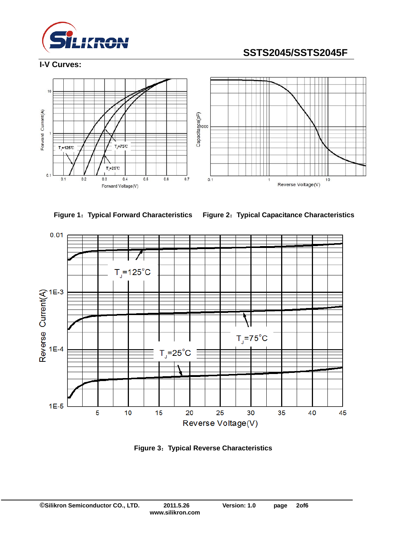

**I-V Curves:** 







**Figure 3**:**Typical Reverse Characteristics**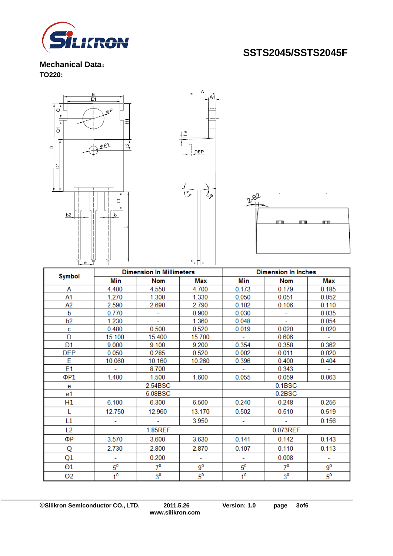

**Mechanical Data**: **TO220:** 



| <b>Symbol</b>  | <b>Dimension In Millimeters</b> |                |             | <b>Dimension In Inches</b> |                          |             |
|----------------|---------------------------------|----------------|-------------|----------------------------|--------------------------|-------------|
|                | Min                             | <b>Nom</b>     | Max         | Min                        | <b>Nom</b>               | Max         |
| А              | 4.400                           | 4.550          | 4.700       | 0.173                      | 0.179                    | 0.185       |
| A1             | 1.270                           | 1.300          | 1.330       | 0.050                      | 0.051                    | 0.052       |
| A2             | 2.590                           | 2.690          | 2.790       | 0.102                      | 0.106                    | 0.110       |
| b              | 0.770                           | ۰              | 0.900       | 0.030                      | $\overline{\phantom{a}}$ | 0.035       |
| b2             | 1.230                           | ۰              | 1.360       | 0.048                      | $\overline{\phantom{a}}$ | 0.054       |
| c              | 0.480                           | 0.500          | 0.520       | 0.019                      | 0.020                    | 0.020       |
| D              | 15.100                          | 15.400         | 15.700      |                            | 0.606                    |             |
| D <sub>1</sub> | 9.000                           | 9.100          | 9.200       | 0.354                      | 0.358                    | 0.362       |
| <b>DEP</b>     | 0.050                           | 0.285          | 0.520       | 0.002                      | 0.011                    | 0.020       |
| E              | 10.060                          | 10.160         | 10.260      | 0.396                      | 0.400                    | 0.404       |
| E1             |                                 | 8.700          |             |                            | 0.343                    |             |
| $\Phi$ P1      | 1.400                           | 1.500          | 1.600       | 0.055                      | 0.059                    | 0.063       |
| e              | 2.54BSC                         |                |             |                            | 0.1BSC                   |             |
| e1             |                                 | 5.08BSC        |             | 0.2BSC                     |                          |             |
| Н1             | 6.100                           | 6.300          | 6.500       | 0.240                      | 0.248                    | 0.256       |
| L              | 12.750                          | 12.960         | 13.170      | 0.502                      | 0.510                    | 0.519       |
| L1             |                                 |                | 3.950       |                            |                          | 0.156       |
| L <sub>2</sub> |                                 | 1.85REF        |             |                            | 0.073REF                 |             |
| ΦР             | 3.570                           | 3.600          | 3.630       | 0.141                      | 0.142                    | 0.143       |
| Q              | 2.730                           | 2.800          | 2.870       | 0.107                      | 0.110                    | 0.113       |
| Q1             | ۰                               | 0.200          | ÷           | ۰                          | 0.008                    | ۰           |
| θ1             | $5^{\circ}$                     | $7^{\circ}$    | $9^0$       | $5^0$                      | $7^0$                    | $9^0$       |
| $\Theta$ 2     | 1 <sup>0</sup>                  | 3 <sup>0</sup> | $5^{\circ}$ | 1 <sup>0</sup>             | 3 <sup>0</sup>           | $5^{\circ}$ |

**©Silikron Semiconductor CO., LTD. 2011.5.26 Version: 1.0 page 3of6**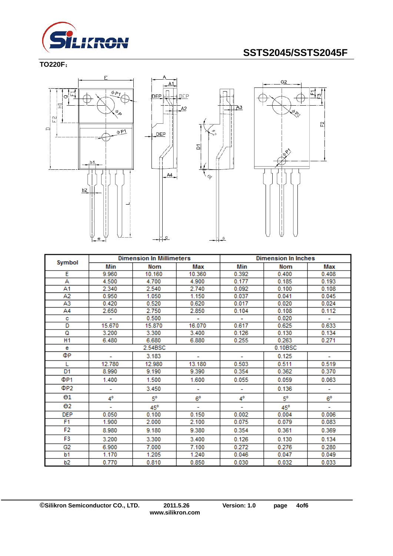

**TO220F**:





 $\overline{A}3$ 



|                       | <b>Dimension In Millimeters</b> |            |                          | <b>Dimension In Inches</b> |            |             |  |
|-----------------------|---------------------------------|------------|--------------------------|----------------------------|------------|-------------|--|
| Symbol                | Min                             | Nom        | Max                      | Min                        | <b>Nom</b> | Max         |  |
| Е                     | 9.960                           | 10.160     | 10.360                   | 0.392                      | 0.400      | 0.408       |  |
| А                     | 4.500                           | 4.700      | 4.900                    | 0.177                      | 0.185      | 0.193       |  |
| Α1                    | 2.340                           | 2.540      | 2.740                    | 0.092                      | 0.100      | 0.108       |  |
| Α2                    | 0.950                           | 1.050      | 1.150                    | 0.037                      | 0.041      | 0.045       |  |
| A3                    | 0.420                           | 0.520      | 0.620                    | 0.017                      | 0.020      | 0.024       |  |
| Α4                    | 2.650                           | 2.750      | 2.850                    | 0.104                      | 0.108      | 0.112       |  |
| с                     |                                 | 0.500      | ÷                        |                            | 0.020      | ÷           |  |
| D                     | 15.670                          | 15.870     | 16.070                   | 0.617                      | 0.625      | 0.633       |  |
| Q                     | 3.200                           | 3.300      | 3.400                    | 0.126                      | 0.130      | 0.134       |  |
| H <sub>1</sub>        | 6.480                           | 6.680      | 6.880                    | 0.255                      | 0.263      | 0.271       |  |
| е                     |                                 | 2.54BSC    |                          |                            | 0.10BSC    |             |  |
| ФP                    |                                 | 3.183      |                          |                            | 0.125      |             |  |
| L                     | 12.780                          | 12.980     | 13.180                   | 0.503                      | 0.511      | 0.519       |  |
| D1                    | 8.990                           | 9.190      | 9.390                    | 0.354                      | 0.362      | 0.370       |  |
| ΦP <sub>1</sub>       | 1.400                           | 1.500      | 1.600                    | 0.055                      | 0.059      | 0.063       |  |
| ΦP <sub>2</sub>       | ۰                               | 3.450      | $\overline{\phantom{a}}$ | ۰                          | 0.136      | ۰           |  |
| $\Theta$ 1            | 4°                              | 5°         | $6^{\circ}$              | 4°                         | 5°         | $6^{\circ}$ |  |
| $\Theta$ <sub>2</sub> | ۰                               | $45^\circ$ |                          | ÷                          | $45^\circ$ |             |  |
| <b>DEP</b>            | 0.050                           | 0.100      | 0.150                    | 0.002                      | 0.004      | 0.006       |  |
| F <sub>1</sub>        | 1.900                           | 2.000      | 2.100                    | 0.075                      | 0.079      | 0.083       |  |
| F2                    | 8.980                           | 9.180      | 9.380                    | 0.354                      | 0.361      | 0.369       |  |
| F3                    | 3.200                           | 3.300      | 3.400                    | 0.126                      | 0.130      | 0.134       |  |
| G <sub>2</sub>        | 6.900                           | 7.000      | 7.100                    | 0.272                      | 0.276      | 0.280       |  |
| b1                    | 1.170                           | 1.205      | 1.240                    | 0.046                      | 0.047      | 0.049       |  |
| b2                    | 0.770                           | 0.810      | 0.850                    | 0.030                      | 0.032      | 0.033       |  |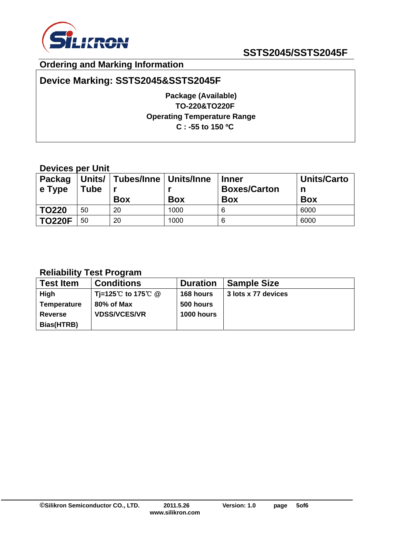

## **Ordering and Marking Information**

## **Device Marking: SSTS2045&SSTS2045F**

**Package (Available) TO-220&TO220F Operating Temperature Range C : -55 to 150 ºC** 

## **Devices per Unit**

| <b>Packag</b><br>$\vert$ e Type | Tube | Units/   Tubes/Inne   Units/Inne<br><b>Box</b> | <b>Box</b> | <b>Inner</b><br><b>Boxes/Carton</b><br><b>Box</b> | <b>Units/Carto</b><br>n<br><b>Box</b> |
|---------------------------------|------|------------------------------------------------|------------|---------------------------------------------------|---------------------------------------|
| <b>TO220</b>                    | 50   | 20                                             | 1000       | 6                                                 | 6000                                  |
| <b>TO220F</b>                   | 50   | 20                                             | 1000       | 6                                                 | 6000                                  |

## **Reliability Test Program**

| <b>Test Item</b>   | <b>Conditions</b>   | <b>Duration</b>   | <b>Sample Size</b>  |
|--------------------|---------------------|-------------------|---------------------|
| High               | Ti=125℃ to 175℃ @   | 168 hours         | 3 lots x 77 devices |
| <b>Temperature</b> | 80% of Max          | 500 hours         |                     |
| <b>Reverse</b>     | <b>VDSS/VCES/VR</b> | <b>1000 hours</b> |                     |
| Bias(HTRB)         |                     |                   |                     |